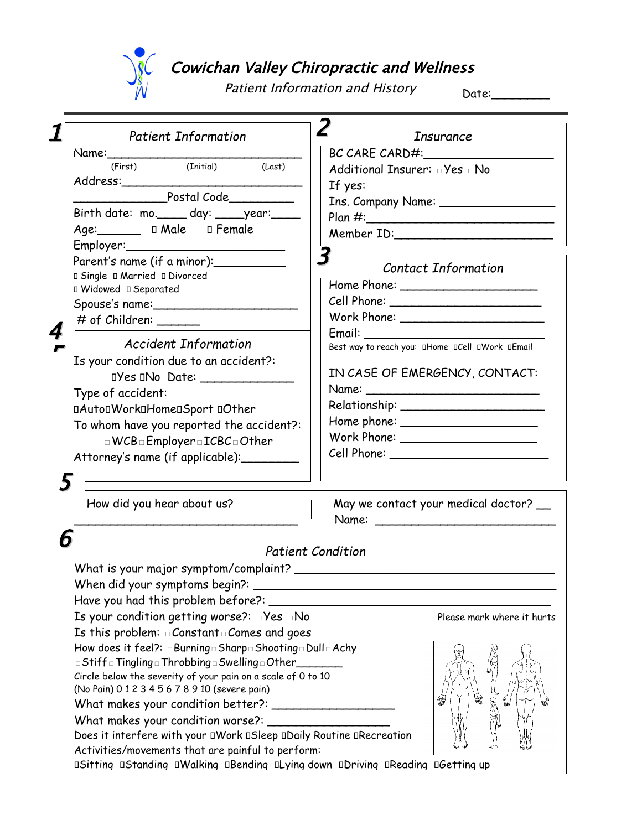

## Cowichan Valley Chiropractic and Wellness

Patient Information and History

Date:\_\_\_\_\_\_\_\_

| <b>Patient Information</b>                                                                                                                                                                                                     | <b>Insurance</b>                                |  |
|--------------------------------------------------------------------------------------------------------------------------------------------------------------------------------------------------------------------------------|-------------------------------------------------|--|
| Name: the contract of the contract of the contract of the contract of the contract of the contract of the contract of the contract of the contract of the contract of the contract of the contract of the contract of the cont | BC CARE CARD#:                                  |  |
| (First) (Initial)<br>(Last)                                                                                                                                                                                                    | Additional Insurer: JYes No                     |  |
|                                                                                                                                                                                                                                | If yes:                                         |  |
| Postal Code Postal                                                                                                                                                                                                             | Ins. Company Name:                              |  |
| Birth date: mo._____ day: _____year:_____                                                                                                                                                                                      |                                                 |  |
| Age: 1 Male 0 Female                                                                                                                                                                                                           | Member ID: Nember 2014                          |  |
|                                                                                                                                                                                                                                |                                                 |  |
| Parent's name (if a minor): __________                                                                                                                                                                                         | <b>Contact Information</b>                      |  |
| <b>□ Single □ Married □ Divorced</b>                                                                                                                                                                                           |                                                 |  |
| D Widowed D Separated                                                                                                                                                                                                          |                                                 |  |
|                                                                                                                                                                                                                                |                                                 |  |
| # of Children: _______                                                                                                                                                                                                         |                                                 |  |
|                                                                                                                                                                                                                                |                                                 |  |
| <b>Accident Information</b>                                                                                                                                                                                                    | Best way to reach you: DHome DCell DWork DEmail |  |
| Is your condition due to an accident?:                                                                                                                                                                                         |                                                 |  |
| DYes DNo Date: ________________                                                                                                                                                                                                | IN CASE OF EMERGENCY, CONTACT:                  |  |
| Type of accident:                                                                                                                                                                                                              |                                                 |  |
| <b><i><u>DAutoDWorkDHomeDSport</u></i></b> DOther                                                                                                                                                                              |                                                 |  |
| To whom have you reported the accident?:                                                                                                                                                                                       | Home phone: $\frac{1}{2}$                       |  |
| $\Box$ WCB $\Box$ Employer $\Box$ ICBC $\Box$ Other                                                                                                                                                                            |                                                 |  |
| Attorney's name (if applicable):                                                                                                                                                                                               |                                                 |  |
|                                                                                                                                                                                                                                |                                                 |  |
|                                                                                                                                                                                                                                |                                                 |  |
| How did you hear about us?                                                                                                                                                                                                     | May we contact your medical doctor? __          |  |
|                                                                                                                                                                                                                                |                                                 |  |
|                                                                                                                                                                                                                                |                                                 |  |
|                                                                                                                                                                                                                                | <b>Patient Condition</b>                        |  |
| What is your major symptom/complaint? ___________                                                                                                                                                                              |                                                 |  |
|                                                                                                                                                                                                                                |                                                 |  |
| Have you had this problem before?: ______                                                                                                                                                                                      |                                                 |  |
| Is your condition getting worse?: $\Box$ Yes $\Box$ No                                                                                                                                                                         | Please mark where it hurts                      |  |
| Is this problem: $\Box$ Constant $\Box$ Comes and goes                                                                                                                                                                         |                                                 |  |
| How does it feel?: a Burning a Sharp a Shooting a Dull a Achy                                                                                                                                                                  |                                                 |  |
| □ Stiff □ Tingling □ Throbbing □ Swelling □ Other_                                                                                                                                                                             |                                                 |  |
| Circle below the severity of your pain on a scale of 0 to 10                                                                                                                                                                   |                                                 |  |
| (No Pain) 0 1 2 3 4 5 6 7 8 9 10 (severe pain)                                                                                                                                                                                 |                                                 |  |
|                                                                                                                                                                                                                                | ର                                               |  |
| What makes your condition worse?: _______                                                                                                                                                                                      |                                                 |  |
| Does it interfere with your DWork DSleep DDaily Routine DRecreation                                                                                                                                                            |                                                 |  |
| Activities/movements that are painful to perform:                                                                                                                                                                              |                                                 |  |
| <b>DSitting DStanding DWalking DBending DLying down DDriving DReading DGetting up</b>                                                                                                                                          |                                                 |  |